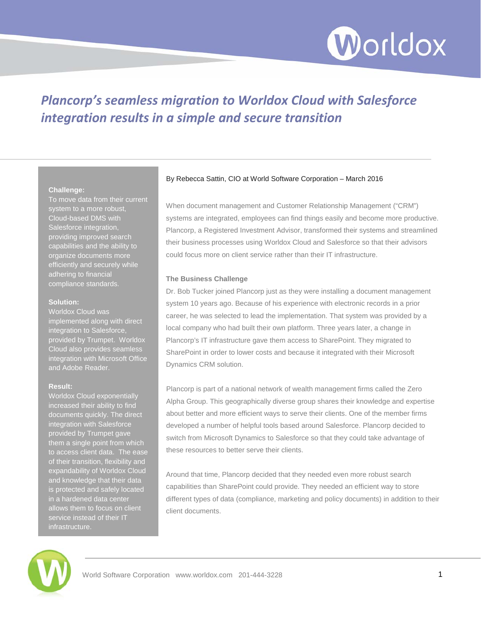

# *Plancorp's seamless migration to Worldox Cloud with Salesforce integration results in a simple and secure transition*

# **Challenge:**

To move data from their current system to a more robust, Cloud-based DMS with Salesforce integration, providing improved search capabilities and the ability to organize documents more efficiently and securely while adhering to financial compliance standards.

# **Solution:**

Worldox Cloud was implemented along with direct integration to Salesforce, provided by Trumpet. Worldox Cloud also provides seamless integration with Microsoft Office and Adobe Reader.

# **Result:**

Worldox Cloud exponentially increased their ability to find documents quickly. The direct integration with Salesforce provided by Trumpet gave them a single point from which of their transition, flexibility and expandability of Worldox Cloud and knowledge that their data is protected and safely located in a hardened data center allows them to focus on client service instead of their IT infrastructure.

# By Rebecca Sattin, CIO at World Software Corporation – March 2016

When document management and Customer Relationship Management ("CRM") systems are integrated, employees can find things easily and become more productive. Plancorp, a Registered Investment Advisor, transformed their systems and streamlined their business processes using Worldox Cloud and Salesforce so that their advisors could focus more on client service rather than their IT infrastructure.

# **The Business Challenge**

Dr. Bob Tucker joined Plancorp just as they were installing a document management system 10 years ago. Because of his experience with electronic records in a prior career, he was selected to lead the implementation. That system was provided by a local company who had built their own platform. Three years later, a change in Plancorp's IT infrastructure gave them access to SharePoint. They migrated to SharePoint in order to lower costs and because it integrated with their Microsoft Dynamics CRM solution.

Plancorp is part of a national network of wealth management firms called the Zero Alpha Group. This geographically diverse group shares their knowledge and expertise about better and more efficient ways to serve their clients. One of the member firms developed a number of helpful tools based around Salesforce. Plancorp decided to switch from Microsoft Dynamics to Salesforce so that they could take advantage of these resources to better serve their clients.

Around that time, Plancorp decided that they needed even more robust search capabilities than SharePoint could provide. They needed an efficient way to store different types of data (compliance, marketing and policy documents) in addition to their client documents.

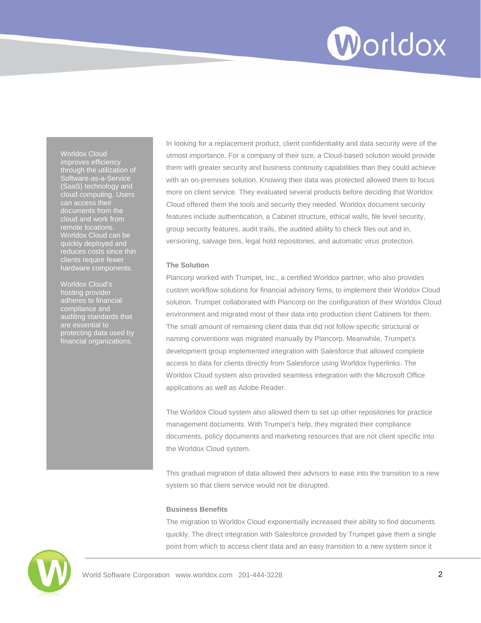# Worldox

Worldox Cloud improves efficiency through the utilization of Software-as-a-Service (SaaS) technology and cloud computing. Users can access their documents from the cloud and work from remote locations. Worldox Cloud can be quickly deployed and clients require fewer hardware components.

Worldox Cloud's hosting provider adheres to financial compliance and auditing standards that are essential to protecting data used by financial organizations.

In looking for a replacement product, client confidentiality and data security were of the utmost importance. For a company of their size, a Cloud-based solution would provide them with greater security and business continuity capabilities than they could achieve with an on-premises solution. Knowing their data was protected allowed them to focus more on client service. They evaluated several products before deciding that Worldox Cloud offered them the tools and security they needed. Worldox document security features include authentication, a Cabinet structure, ethical walls, file level security, group security features, audit trails, the audited ability to check files out and in, versioning, salvage bins, legal hold repositories, and automatic virus protection.

# **The Solution**

Plancorp worked with Trumpet, Inc., a certified Worldox partner, who also provides custom workflow solutions for financial advisory firms, to implement their Worldox Cloud solution. Trumpet collaborated with Plancorp on the configuration of their Worldox Cloud environment and migrated most of their data into production client Cabinets for them. The small amount of remaining client data that did not follow specific structural or naming conventions was migrated manually by Plancorp. Meanwhile, Trumpet's development group implemented integration with Salesforce that allowed complete access to data for clients directly from Salesforce using Worldox hyperlinks. The Worldox Cloud system also provided seamless integration with the Microsoft Office applications as well as Adobe Reader.

The Worldox Cloud system also allowed them to set up other repositories for practice management documents. With Trumpet's help, they migrated their compliance documents, policy documents and marketing resources that are not client specific into the Worldox Cloud system.

This gradual migration of data allowed their advisors to ease into the transition to a new system so that client service would not be disrupted.

# **Business Benefits**

The migration to Worldox Cloud exponentially increased their ability to find documents quickly. The direct integration with Salesforce provided by Trumpet gave them a single point from which to access client data and an easy transition to a new system since it